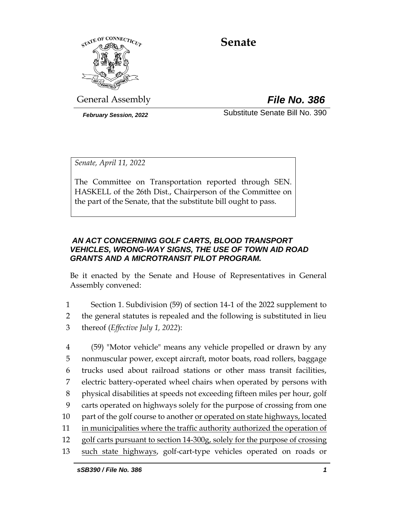

# **Senate**

General Assembly *File No. 386*

*February Session, 2022* Substitute Senate Bill No. 390

*Senate, April 11, 2022*

The Committee on Transportation reported through SEN. HASKELL of the 26th Dist., Chairperson of the Committee on the part of the Senate, that the substitute bill ought to pass.

# *AN ACT CONCERNING GOLF CARTS, BLOOD TRANSPORT VEHICLES, WRONG-WAY SIGNS, THE USE OF TOWN AID ROAD GRANTS AND A MICROTRANSIT PILOT PROGRAM.*

Be it enacted by the Senate and House of Representatives in General Assembly convened:

- 1 Section 1. Subdivision (59) of section 14-1 of the 2022 supplement to 2 the general statutes is repealed and the following is substituted in lieu 3 thereof (*Effective July 1, 2022*):
- 4 (59) "Motor vehicle" means any vehicle propelled or drawn by any 5 nonmuscular power, except aircraft, motor boats, road rollers, baggage 6 trucks used about railroad stations or other mass transit facilities, 7 electric battery-operated wheel chairs when operated by persons with 8 physical disabilities at speeds not exceeding fifteen miles per hour, golf 9 carts operated on highways solely for the purpose of crossing from one 10 part of the golf course to another or operated on state highways, located 11 in municipalities where the traffic authority authorized the operation of 12 golf carts pursuant to section 14-300g, solely for the purpose of crossing 13 such state highways, golf-cart-type vehicles operated on roads or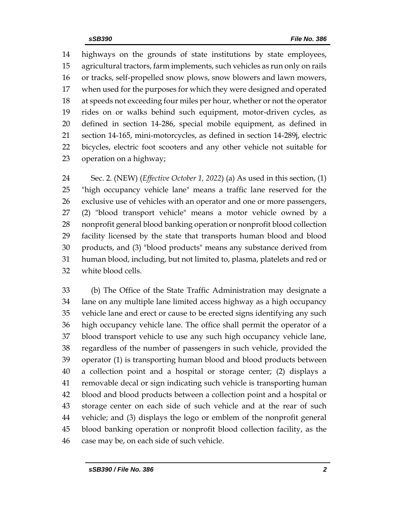highways on the grounds of state institutions by state employees, agricultural tractors, farm implements, such vehicles as run only on rails or tracks, self-propelled snow plows, snow blowers and lawn mowers, when used for the purposes for which they were designed and operated at speeds not exceeding four miles per hour, whether or not the operator rides on or walks behind such equipment, motor-driven cycles, as defined in section 14-286, special mobile equipment, as defined in section 14-165, mini-motorcycles, as defined in section 14-289j, electric bicycles, electric foot scooters and any other vehicle not suitable for operation on a highway;

 Sec. 2. (NEW) (*Effective October 1, 2022*) (a) As used in this section, (1) "high occupancy vehicle lane" means a traffic lane reserved for the exclusive use of vehicles with an operator and one or more passengers, (2) "blood transport vehicle" means a motor vehicle owned by a nonprofit general blood banking operation or nonprofit blood collection facility licensed by the state that transports human blood and blood products, and (3) "blood products" means any substance derived from human blood, including, but not limited to, plasma, platelets and red or white blood cells.

 (b) The Office of the State Traffic Administration may designate a lane on any multiple lane limited access highway as a high occupancy vehicle lane and erect or cause to be erected signs identifying any such high occupancy vehicle lane. The office shall permit the operator of a blood transport vehicle to use any such high occupancy vehicle lane, regardless of the number of passengers in such vehicle, provided the operator (1) is transporting human blood and blood products between a collection point and a hospital or storage center; (2) displays a removable decal or sign indicating such vehicle is transporting human blood and blood products between a collection point and a hospital or storage center on each side of such vehicle and at the rear of such vehicle; and (3) displays the logo or emblem of the nonprofit general blood banking operation or nonprofit blood collection facility, as the case may be, on each side of such vehicle.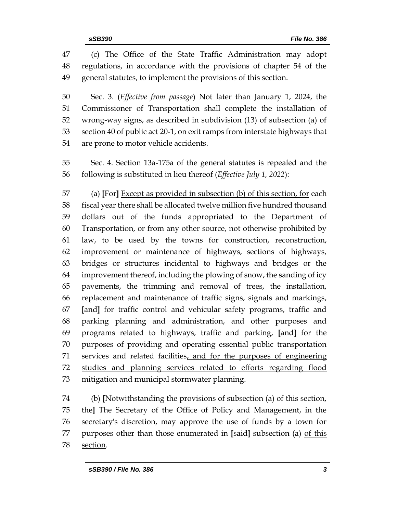(c) The Office of the State Traffic Administration may adopt regulations, in accordance with the provisions of chapter 54 of the general statutes, to implement the provisions of this section.

 Sec. 3. (*Effective from passage*) Not later than January 1, 2024, the Commissioner of Transportation shall complete the installation of wrong-way signs, as described in subdivision (13) of subsection (a) of section 40 of public act 20-1, on exit ramps from interstate highways that are prone to motor vehicle accidents.

 Sec. 4. Section 13a-175a of the general statutes is repealed and the following is substituted in lieu thereof (*Effective July 1, 2022*):

 (a) **[**For**]** Except as provided in subsection (b) of this section, for each fiscal year there shall be allocated twelve million five hundred thousand dollars out of the funds appropriated to the Department of Transportation, or from any other source, not otherwise prohibited by law, to be used by the towns for construction, reconstruction, improvement or maintenance of highways, sections of highways, bridges or structures incidental to highways and bridges or the improvement thereof, including the plowing of snow, the sanding of icy pavements, the trimming and removal of trees, the installation, replacement and maintenance of traffic signs, signals and markings, **[**and**]** for traffic control and vehicular safety programs, traffic and parking planning and administration, and other purposes and programs related to highways, traffic and parking, **[**and**]** for the purposes of providing and operating essential public transportation services and related facilities, and for the purposes of engineering studies and planning services related to efforts regarding flood mitigation and municipal stormwater planning.

 (b) **[**Notwithstanding the provisions of subsection (a) of this section, the**]** The Secretary of the Office of Policy and Management, in the secretary's discretion, may approve the use of funds by a town for purposes other than those enumerated in **[**said**]** subsection (a) of this section.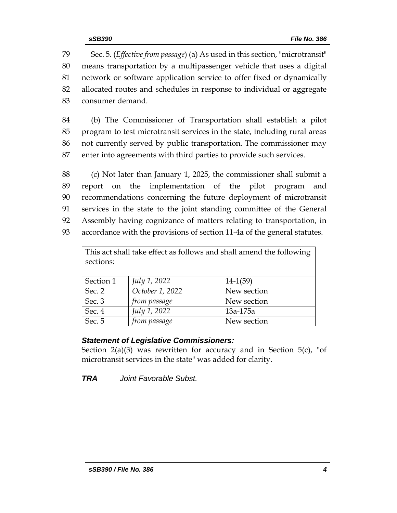Sec. 5. (*Effective from passage*) (a) As used in this section, "microtransit" means transportation by a multipassenger vehicle that uses a digital network or software application service to offer fixed or dynamically allocated routes and schedules in response to individual or aggregate consumer demand.

 (b) The Commissioner of Transportation shall establish a pilot program to test microtransit services in the state, including rural areas not currently served by public transportation. The commissioner may enter into agreements with third parties to provide such services.

 (c) Not later than January 1, 2025, the commissioner shall submit a report on the implementation of the pilot program and recommendations concerning the future deployment of microtransit services in the state to the joint standing committee of the General Assembly having cognizance of matters relating to transportation, in accordance with the provisions of section 11-4a of the general statutes.

| This act shall take effect as follows and shall amend the following<br>sections: |                 |             |  |  |
|----------------------------------------------------------------------------------|-----------------|-------------|--|--|
|                                                                                  |                 |             |  |  |
| Section 1                                                                        | July 1, 2022    | $14-1(59)$  |  |  |
| Sec. 2                                                                           | October 1, 2022 | New section |  |  |
| Sec. 3                                                                           | from passage    | New section |  |  |
| Sec. 4                                                                           | July 1, 2022    | 13a-175a    |  |  |
| Sec. 5                                                                           | from passage    | New section |  |  |

# *Statement of Legislative Commissioners:*

Section  $2(a)(3)$  was rewritten for accuracy and in Section  $5(c)$ , "of microtransit services in the state" was added for clarity.

*TRA Joint Favorable Subst.*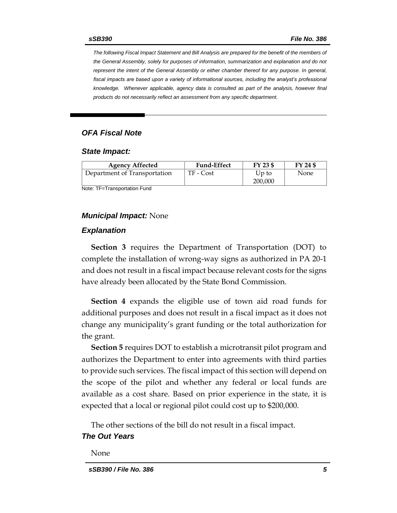*The following Fiscal Impact Statement and Bill Analysis are prepared for the benefit of the members of the General Assembly, solely for purposes of information, summarization and explanation and do not represent the intent of the General Assembly or either chamber thereof for any purpose. In general,*  fiscal impacts are based upon a variety of informational sources, including the analyst's professional *knowledge. Whenever applicable, agency data is consulted as part of the analysis, however final products do not necessarily reflect an assessment from any specific department.*

# *OFA Fiscal Note*

#### *State Impact:*

| <b>Agency Affected</b>       | <b>Fund-Effect</b> | FY 23 \$         | FY 24 \$ |
|------------------------------|--------------------|------------------|----------|
| Department of Transportation | TF - Cost          | Up to<br>200,000 | None     |

Note: TF=Transportation Fund

#### *Municipal Impact:* None

#### *Explanation*

**Section 3** requires the Department of Transportation (DOT) to complete the installation of wrong-way signs as authorized in PA 20-1 and does not result in a fiscal impact because relevant costs for the signs have already been allocated by the State Bond Commission.

**Section 4** expands the eligible use of town aid road funds for additional purposes and does not result in a fiscal impact as it does not change any municipality's grant funding or the total authorization for the grant.

**Section 5** requires DOT to establish a microtransit pilot program and authorizes the Department to enter into agreements with third parties to provide such services. The fiscal impact of this section will depend on the scope of the pilot and whether any federal or local funds are available as a cost share. Based on prior experience in the state, it is expected that a local or regional pilot could cost up to \$200,000.

The other sections of the bill do not result in a fiscal impact.

## *The Out Years*

None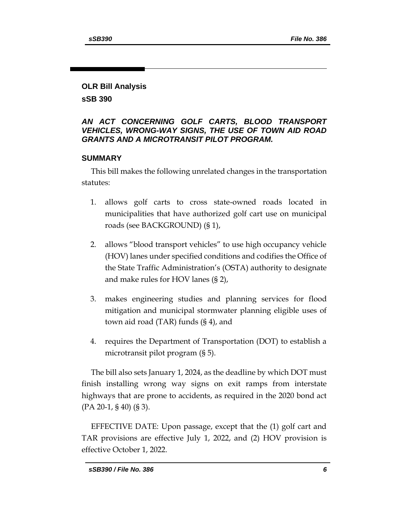# **OLR Bill Analysis**

**sSB 390**

# *AN ACT CONCERNING GOLF CARTS, BLOOD TRANSPORT VEHICLES, WRONG-WAY SIGNS, THE USE OF TOWN AID ROAD GRANTS AND A MICROTRANSIT PILOT PROGRAM.*

# **SUMMARY**

This bill makes the following unrelated changes in the transportation statutes:

- 1. allows golf carts to cross state-owned roads located in municipalities that have authorized golf cart use on municipal roads (see BACKGROUND) (§ 1),
- 2. allows "blood transport vehicles" to use high occupancy vehicle (HOV) lanes under specified conditions and codifies the Office of the State Traffic Administration's (OSTA) authority to designate and make rules for HOV lanes (§ 2),
- 3. makes engineering studies and planning services for flood mitigation and municipal stormwater planning eligible uses of town aid road (TAR) funds (§ 4), and
- 4. requires the Department of Transportation (DOT) to establish a microtransit pilot program (§ 5).

The bill also sets January 1, 2024, as the deadline by which DOT must finish installing wrong way signs on exit ramps from interstate highways that are prone to accidents, as required in the 2020 bond act (PA 20-1, § 40) (§ 3).

EFFECTIVE DATE: Upon passage, except that the (1) golf cart and TAR provisions are effective July 1, 2022, and (2) HOV provision is effective October 1, 2022.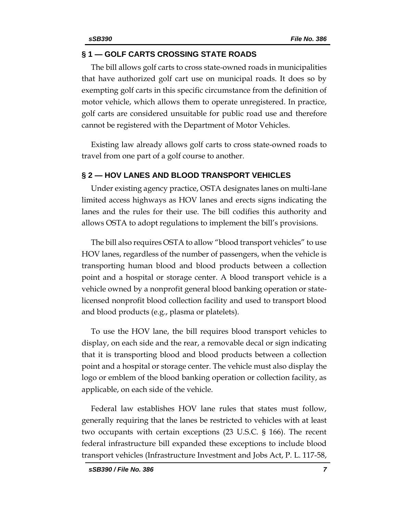# **§ 1 — GOLF CARTS CROSSING STATE ROADS**

The bill allows golf carts to cross state-owned roads in municipalities that have authorized golf cart use on municipal roads. It does so by exempting golf carts in this specific circumstance from the definition of motor vehicle, which allows them to operate unregistered. In practice, golf carts are considered unsuitable for public road use and therefore cannot be registered with the Department of Motor Vehicles.

Existing law already allows golf carts to cross state-owned roads to travel from one part of a golf course to another.

# **§ 2 — HOV LANES AND BLOOD TRANSPORT VEHICLES**

Under existing agency practice, OSTA designates lanes on multi-lane limited access highways as HOV lanes and erects signs indicating the lanes and the rules for their use. The bill codifies this authority and allows OSTA to adopt regulations to implement the bill's provisions.

The bill also requires OSTA to allow "blood transport vehicles" to use HOV lanes, regardless of the number of passengers, when the vehicle is transporting human blood and blood products between a collection point and a hospital or storage center. A blood transport vehicle is a vehicle owned by a nonprofit general blood banking operation or statelicensed nonprofit blood collection facility and used to transport blood and blood products (e.g., plasma or platelets).

To use the HOV lane, the bill requires blood transport vehicles to display, on each side and the rear, a removable decal or sign indicating that it is transporting blood and blood products between a collection point and a hospital or storage center. The vehicle must also display the logo or emblem of the blood banking operation or collection facility, as applicable, on each side of the vehicle.

Federal law establishes HOV lane rules that states must follow, generally requiring that the lanes be restricted to vehicles with at least two occupants with certain exceptions (23 U.S.C. § 166). The recent federal infrastructure bill expanded these exceptions to include blood transport vehicles (Infrastructure Investment and Jobs Act, P. L. 117-58,